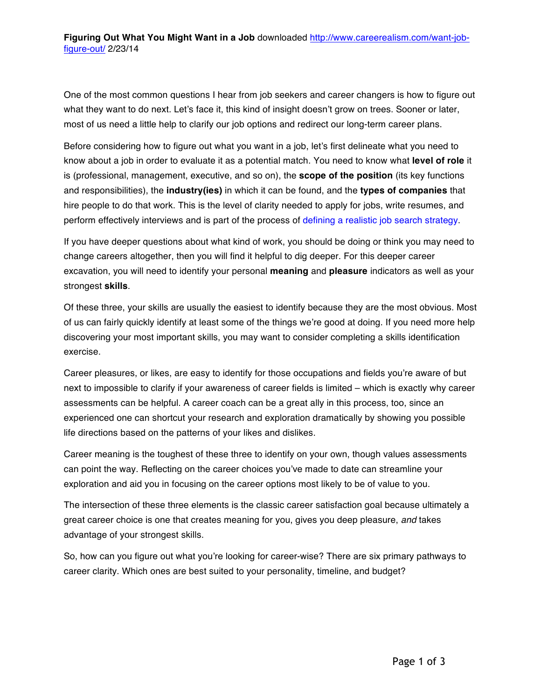One of the most common questions I hear from job seekers and career changers is how to figure out what they want to do next. Let's face it, this kind of insight doesn't grow on trees. Sooner or later, most of us need a little help to clarify our job options and redirect our long-term career plans.

Before considering how to figure out what you want in a job, let's first delineate what you need to know about a job in order to evaluate it as a potential match. You need to know what **level of role** it is (professional, management, executive, and so on), the **scope of the position** (its key functions and responsibilities), the **industry(ies)** in which it can be found, and the **types of companies** that hire people to do that work. This is the level of clarity needed to apply for jobs, write resumes, and perform effectively interviews and is part of the process of defining a realistic job search strategy.

If you have deeper questions about what kind of work, you should be doing or think you may need to change careers altogether, then you will find it helpful to dig deeper. For this deeper career excavation, you will need to identify your personal **meaning** and **pleasure** indicators as well as your strongest **skills**.

Of these three, your skills are usually the easiest to identify because they are the most obvious. Most of us can fairly quickly identify at least some of the things we're good at doing. If you need more help discovering your most important skills, you may want to consider completing a skills identification exercise.

Career pleasures, or likes, are easy to identify for those occupations and fields you're aware of but next to impossible to clarify if your awareness of career fields is limited – which is exactly why career assessments can be helpful. A career coach can be a great ally in this process, too, since an experienced one can shortcut your research and exploration dramatically by showing you possible life directions based on the patterns of your likes and dislikes.

Career meaning is the toughest of these three to identify on your own, though values assessments can point the way. Reflecting on the career choices you've made to date can streamline your exploration and aid you in focusing on the career options most likely to be of value to you.

The intersection of these three elements is the classic career satisfaction goal because ultimately a great career choice is one that creates meaning for you, gives you deep pleasure, *and* takes advantage of your strongest skills.

So, how can you figure out what you're looking for career-wise? There are six primary pathways to career clarity. Which ones are best suited to your personality, timeline, and budget?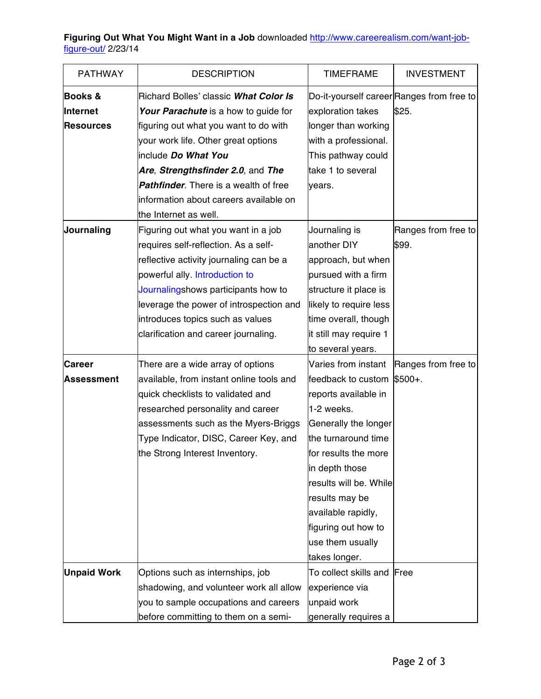**Figuring Out What You Might Want in a Job** downloaded http://www.careerealism.com/want-jobfigure-out/ 2/23/14

| <b>PATHWAY</b>     | <b>DESCRIPTION</b>                           | <b>TIMEFRAME</b>       | <b>INVESTMENT</b>                         |
|--------------------|----------------------------------------------|------------------------|-------------------------------------------|
| <b>Books &amp;</b> | Richard Bolles' classic What Color Is        |                        | Do-it-yourself career Ranges from free to |
| Internet           | Your Parachute is a how to guide for         | exploration takes      | \$25.                                     |
| <b>Resources</b>   | figuring out what you want to do with        | longer than working    |                                           |
|                    | your work life. Other great options          | with a professional.   |                                           |
|                    | include Do What You                          | This pathway could     |                                           |
|                    | Are, Strengthsfinder 2.0, and The            | take 1 to several      |                                           |
|                    | <b>Pathfinder.</b> There is a wealth of free | vears.                 |                                           |
|                    | information about careers available on       |                        |                                           |
|                    | the Internet as well.                        |                        |                                           |
| Journaling         | Figuring out what you want in a job          | Journaling is          | Ranges from free to                       |
|                    | requires self-reflection. As a self-         | another DIY            | \$99.                                     |
|                    | reflective activity journaling can be a      | approach, but when     |                                           |
|                    | powerful ally. Introduction to               | pursued with a firm    |                                           |
|                    | Journalingshows participants how to          | structure it place is  |                                           |
|                    | leverage the power of introspection and      | likely to require less |                                           |
|                    | introduces topics such as values             | time overall, though   |                                           |
|                    | clarification and career journaling.         | it still may require 1 |                                           |
|                    |                                              | to several years.      |                                           |
| <b>Career</b>      | There are a wide array of options            | Varies from instant    | Ranges from free to                       |
| Assessment         | available, from instant online tools and     | feedback to custom     | $$500+$ .                                 |
|                    | quick checklists to validated and            | reports available in   |                                           |
|                    | researched personality and career            | 1-2 weeks.             |                                           |
|                    | assessments such as the Myers-Briggs         | Generally the longer   |                                           |
|                    | Type Indicator, DISC, Career Key, and        | the turnaround time    |                                           |
|                    | the Strong Interest Inventory.               | for results the more   |                                           |
|                    |                                              | in depth those         |                                           |
|                    |                                              | results will be. While |                                           |
|                    |                                              | results may be         |                                           |
|                    |                                              | available rapidly,     |                                           |
|                    |                                              | figuring out how to    |                                           |
|                    |                                              | use them usually       |                                           |
|                    |                                              | takes longer.          |                                           |
| <b>Unpaid Work</b> | Options such as internships, job             | To collect skills and  | Free                                      |
|                    | shadowing, and volunteer work all allow      | experience via         |                                           |
|                    | you to sample occupations and careers        | unpaid work            |                                           |
|                    | before committing to them on a semi-         | generally requires a   |                                           |